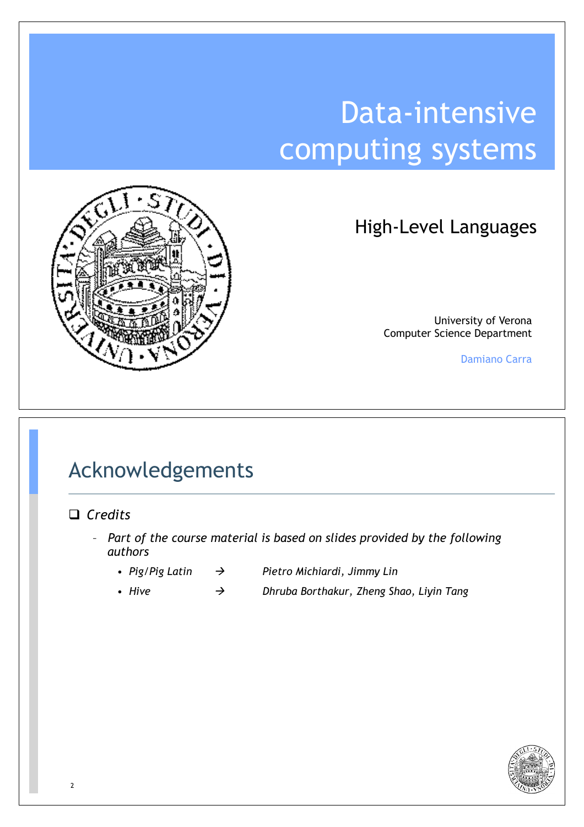# Data-intensive computing systems



High-Level Languages

University of Verona Computer Science Department

Damiano Carra

#### Acknowledgements

#### □ *Credits*

- *Part of the course material is based on slides provided by the following authors*
	-
	- *Pig/Pig Latin* ! *Pietro Michiardi, Jimmy Lin*
	- *Hive* ! *Dhruba Borthakur, Zheng Shao, Liyin Tang*

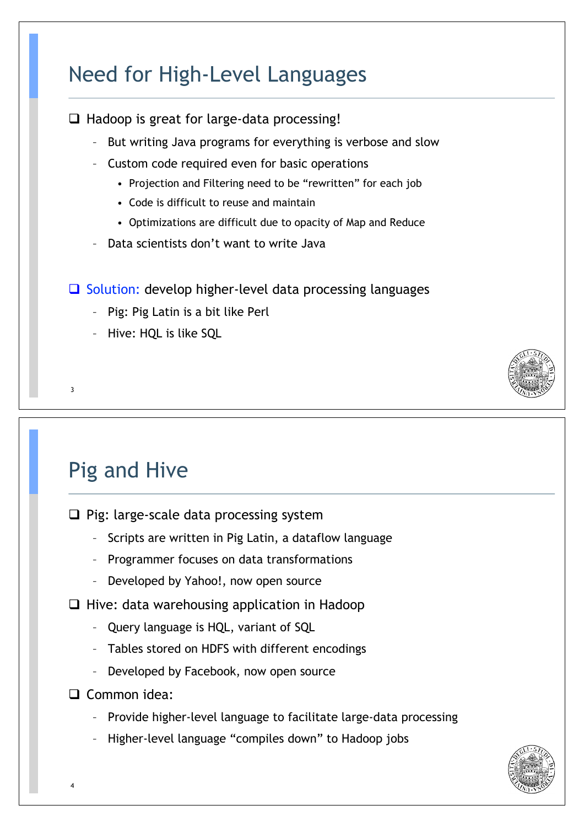## Need for High-Level Languages

 $\Box$  Hadoop is great for large-data processing!

- But writing Java programs for everything is verbose and slow
- Custom code required even for basic operations
	- Projection and Filtering need to be "rewritten" for each job
	- Code is difficult to reuse and maintain
	- Optimizations are difficult due to opacity of Map and Reduce
- Data scientists don't want to write Java

 $\Box$  Solution: develop higher-level data processing languages

- Pig: Pig Latin is a bit like Perl
- Hive: HQL is like SQL



## Pig and Hive

3

 $\Box$  Pig: large-scale data processing system

- Scripts are written in Pig Latin, a dataflow language
- Programmer focuses on data transformations
- Developed by Yahoo!, now open source

 $\Box$  Hive: data warehousing application in Hadoop

- Query language is HQL, variant of SQL
- Tables stored on HDFS with different encodings
- Developed by Facebook, now open source
- $\Box$  Common idea:
	- Provide higher-level language to facilitate large-data processing
	- Higher-level language "compiles down" to Hadoop jobs

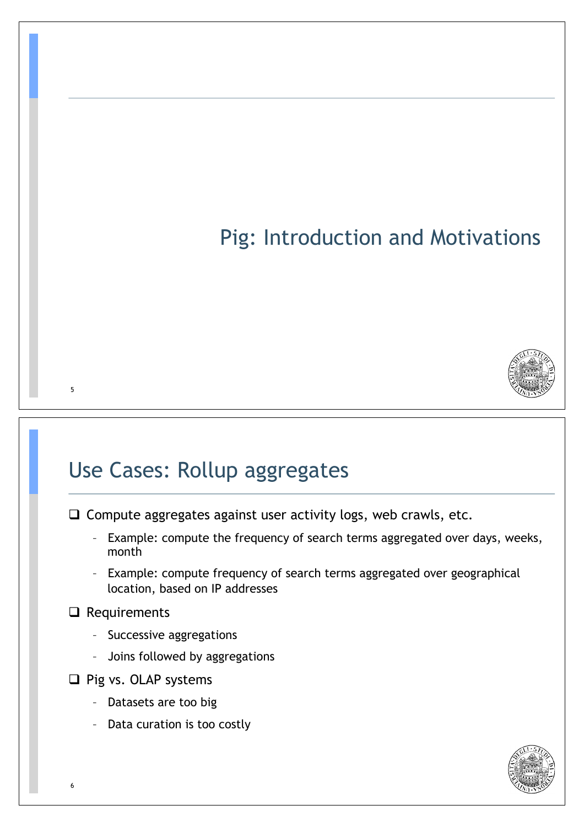## Pig: Introduction and Motivations



#### Use Cases: Rollup aggregates

 $\Box$  Compute aggregates against user activity logs, web crawls, etc.

- Example: compute the frequency of search terms aggregated over days, weeks, month
- Example: compute frequency of search terms aggregated over geographical location, based on IP addresses

#### $\Box$  Requirements

- Successive aggregations
- Joins followed by aggregations
- $\Box$  Pig vs. OLAP systems
	- Datasets are too big
	- Data curation is too costly

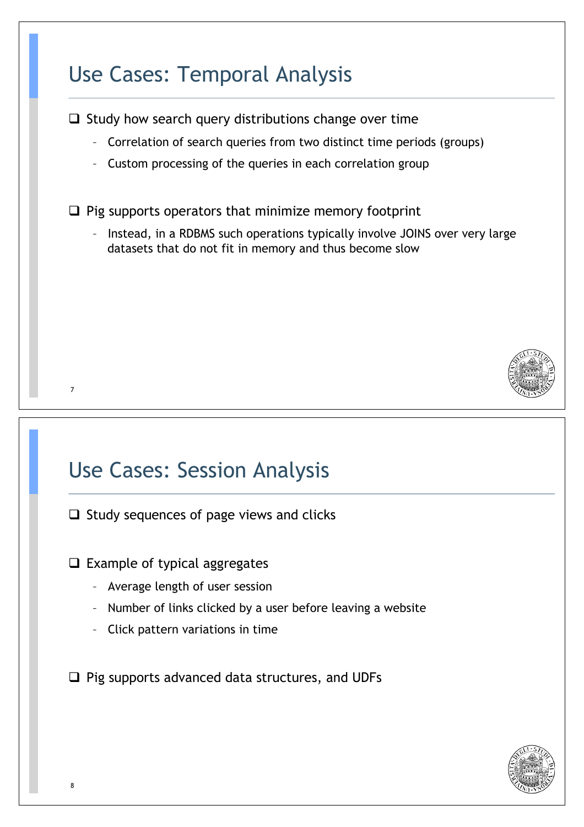## Use Cases: Temporal Analysis

 $\Box$  Study how search query distributions change over time

- Correlation of search queries from two distinct time periods (groups)
- Custom processing of the queries in each correlation group

 $\Box$  Pig supports operators that minimize memory footprint

– Instead, in a RDBMS such operations typically involve JOINS over very large datasets that do not fit in memory and thus become slow



#### Use Cases: Session Analysis

 $\Box$  Study sequences of page views and clicks

 $\Box$  Example of typical aggregates

- Average length of user session
- Number of links clicked by a user before leaving a website
- Click pattern variations in time

 $\Box$  Pig supports advanced data structures, and UDFs

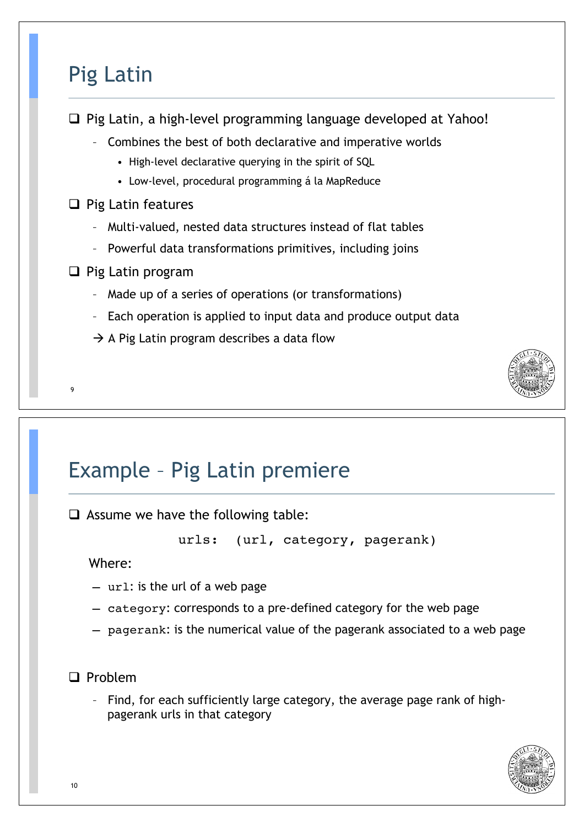#### Pig Latin

 $\Box$  Pig Latin, a high-level programming language developed at Yahoo!

- Combines the best of both declarative and imperative worlds
	- High-level declarative querying in the spirit of SQL
	- Low-level, procedural programming á la MapReduce

#### $\Box$  Pig Latin features

- Multi-valued, nested data structures instead of flat tables
- Powerful data transformations primitives, including joins
- $\Box$  Pig Latin program
	- Made up of a series of operations (or transformations)
	- Each operation is applied to input data and produce output data
	- $\rightarrow$  A Pig Latin program describes a data flow



 $\Box$  Assume we have the following table:

urls: (url, category, pagerank)

Where:

9

- url: is the url of a web page
- category: corresponds to a pre-defined category for the web page
- pagerank: is the numerical value of the pagerank associated to a web page



– Find, for each sufficiently large category, the average page rank of highpagerank urls in that category

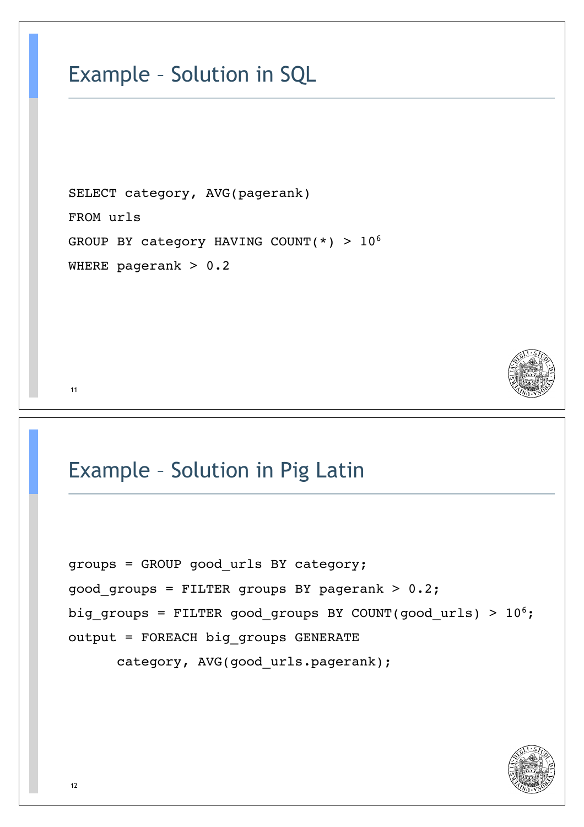#### Example – Solution in SQL

SELECT category, AVG(pagerank) FROM urls GROUP BY category HAVING COUNT(\*) >  $10^6$ WHERE pagerank  $> 0.2$ 



#### Example – Solution in Pig Latin

```
groups = GROUP good_urls BY category;
good groups = FILTER groups BY pagerank > 0.2;
big groups = FILTER good groups BY COUNT(good urls) > 10^6;
output = FOREACH big_groups GENERATE 
      category, AVG(good urls.pagerank);
```
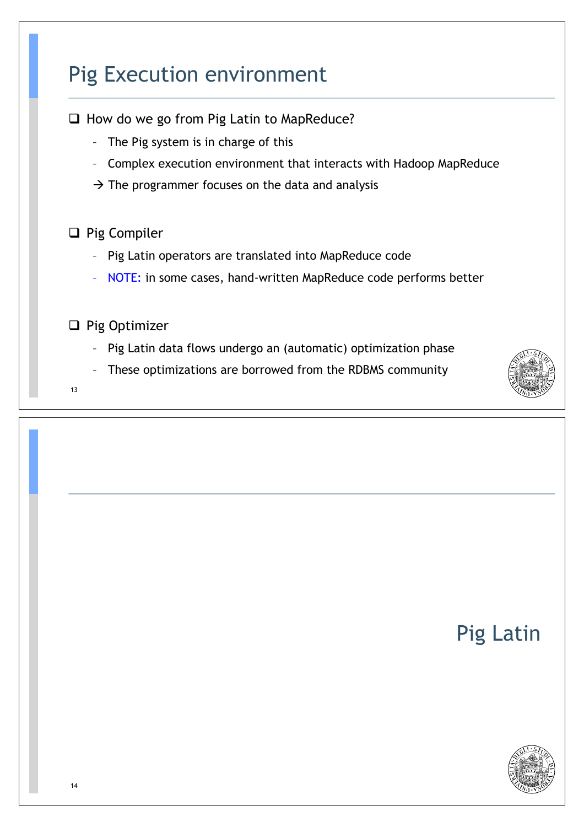## Pig Execution environment

 $\Box$  How do we go from Pig Latin to MapReduce?

- The Pig system is in charge of this
- Complex execution environment that interacts with Hadoop MapReduce
- $\rightarrow$  The programmer focuses on the data and analysis

#### $\Box$  Pig Compiler

- Pig Latin operators are translated into MapReduce code
- NOTE: in some cases, hand-written MapReduce code performs better
- $\Box$  Pig Optimizer
	- Pig Latin data flows undergo an (automatic) optimization phase
	- These optimizations are borrowed from the RDBMS community

13



## Pig Latin

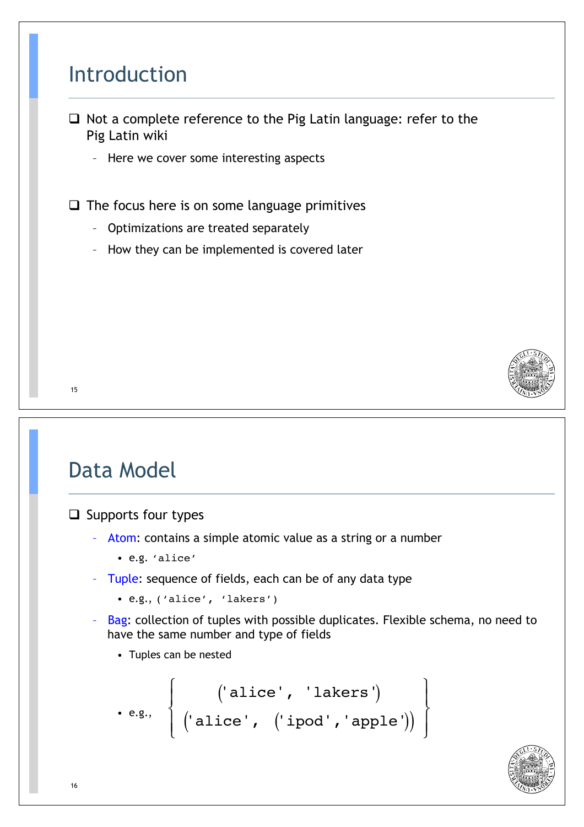#### Introduction

- $\Box$  Not a complete reference to the Pig Latin language: refer to the Pig Latin wiki
	- Here we cover some interesting aspects

 $\Box$  The focus here is on some language primitives

- Optimizations are treated separately
- How they can be implemented is covered later



#### 15

## Data Model

 $\Box$  Supports four types

- Atom: contains a simple atomic value as a string or a number
	- e.g. 'alice'
- Tuple: sequence of fields, each can be of any data type
	- e.g., ('alice', 'lakers')
- Bag: collection of tuples with possible duplicates. Flexible schema, no need to have the same number and type of fields
	- Tuples can be nested

$$
\left.\begin{array}{c} \left(\text{ 'alice'}, \text{ 'lakers'}\right) \\ \left(\text{ 'alice'}, \text{ ('ipod'}, 'apple')\right) \end{array}\right\}
$$

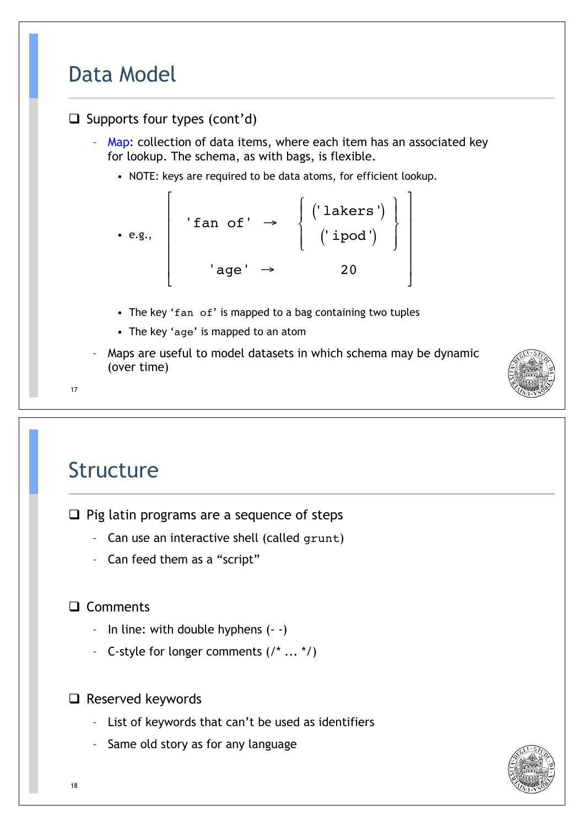## Data Model

#### $\Box$  Supports four types (cont'd)

Map: collection of data items, where each item has an associated key for lookup. The schema, as with bags, is flexible.

,

. . . . .

 $\overline{\phantom{a}}$ 

• NOTE: keys are required to be data atoms, for efficient lookup.

$$
\bullet \text{ e.g., } \begin{bmatrix} & & & \\ & \cdot & \text{fan of'} & \rightarrow & \left\{ \begin{array}{c} (\text{lakers'}) \\ & (\text{ipod'}) \\ & & \cdot & \text{age'} \rightarrow & 20 \end{array} \right\}
$$

- The key 'fan of' is mapped to a bag containing two tuples
- The key 'age' is mapped to an atom
- Maps are useful to model datasets in which schema may be dynamic (over time)



17

#### Structure

 $\Box$  Pig latin programs are a sequence of steps

- Can use an interactive shell (called grunt)
- Can feed them as a "script"

#### □ Comments

- In line: with double hyphens (- -)
- C-style for longer comments  $(7^* \dots *')$



- List of keywords that can't be used as identifiers
- Same old story as for any language

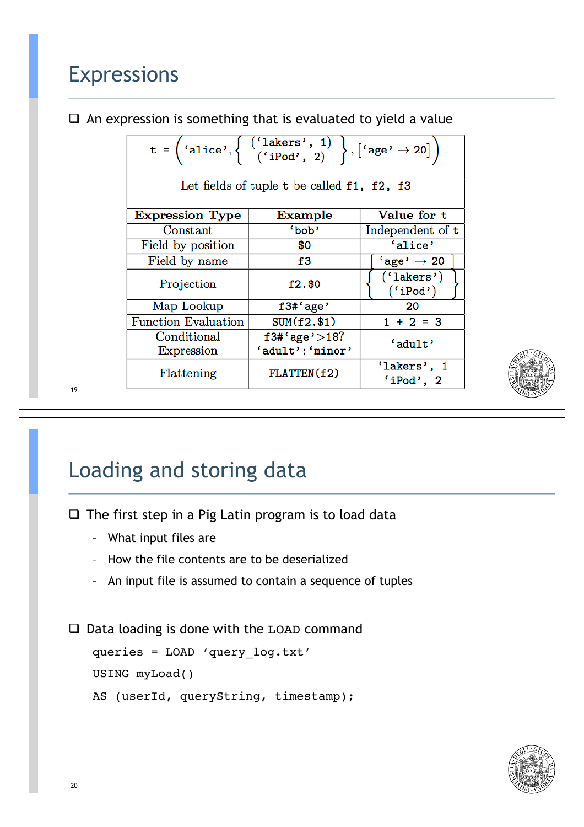#### Expressions

 $\Box$  An expression is something that is evaluated to yield a value

|                            | t = $\begin{pmatrix} 1 & 0 \\ 0 & 1 \end{pmatrix}$ ( $\begin{pmatrix} 1 & 0 \\ 0 & 1 \end{pmatrix}$ , $\begin{pmatrix} 1 & 0 \\ 0 & 1 \end{pmatrix}$ , $\begin{pmatrix} 1 & 0 \\ 0 & 1 \end{pmatrix}$<br>Let fields of tuple $t$ be called $f1$ , $f2$ , $f3$ |                           |
|----------------------------|---------------------------------------------------------------------------------------------------------------------------------------------------------------------------------------------------------------------------------------------------------------|---------------------------|
| <b>Expression Type</b>     | Example                                                                                                                                                                                                                                                       | Value for t               |
| Constant                   | 'bob'                                                                                                                                                                                                                                                         | Independent of t          |
| Field by position          | \$0                                                                                                                                                                                                                                                           | 'alice'                   |
| Field by name              | f3                                                                                                                                                                                                                                                            | $'$ age' $\rightarrow$ 20 |
| Projection                 | $f2.$ \$0                                                                                                                                                                                                                                                     | ('lakers')<br>('iPod')    |
| Map Lookup                 | f3#'age'                                                                                                                                                                                                                                                      | 20                        |
| <b>Function Evaluation</b> | $SUM(f2.\$1)$                                                                                                                                                                                                                                                 | $1 + 2 = 3$               |
| Conditional                | $f3#'age$ '>18?                                                                                                                                                                                                                                               | 'adult'                   |
| Expression                 | 'adult': 'minor'                                                                                                                                                                                                                                              |                           |
| Flattening                 | FLATTEN(f2)                                                                                                                                                                                                                                                   | 'lakers', 1<br>'iPod', 2  |



## Loading and storing data

 $\Box$  The first step in a Pig Latin program is to load data

- What input files are
- How the file contents are to be deserialized
- An input file is assumed to contain a sequence of tuples

 $\Box$  Data loading is done with the LOAD command

```
queries = LOAD 'query_log.txt'
USING myLoad()
AS (userId, queryString, timestamp);
```
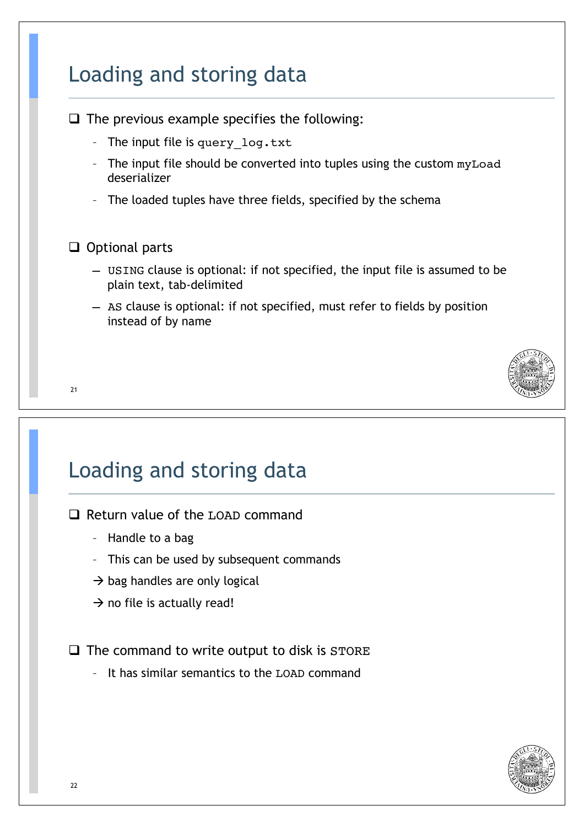## Loading and storing data

 $\Box$  The previous example specifies the following:

- The input file is query log.txt
- The input file should be converted into tuples using the custom myLoad deserializer
- The loaded tuples have three fields, specified by the schema

#### $\Box$  Optional parts

- USING clause is optional: if not specified, the input file is assumed to be plain text, tab-delimited
- AS clause is optional: if not specified, must refer to fields by position instead of by name

#### 21

## Loading and storing data

- $\Box$  Return value of the LOAD command
	- Handle to a bag
	- This can be used by subsequent commands
	- $\rightarrow$  bag handles are only logical
	- $\rightarrow$  no file is actually read!

 $\Box$  The command to write output to disk is STORE

– It has similar semantics to the LOAD command

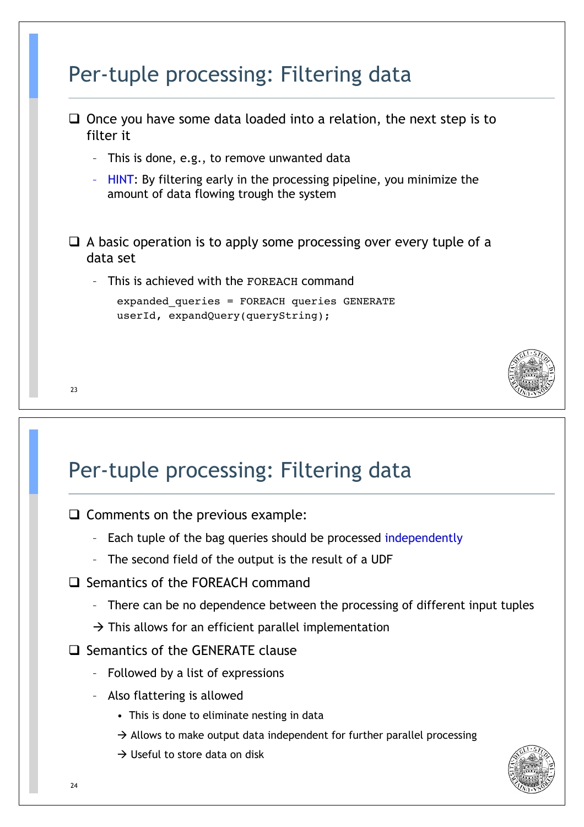|                          | $\Box$ Once you have some data loaded into a relation, the next step is to<br>filter it                           |  |
|--------------------------|-------------------------------------------------------------------------------------------------------------------|--|
| $\overline{\phantom{a}}$ | This is done, e.g., to remove unwanted data                                                                       |  |
| $\overline{\phantom{a}}$ | HINT: By filtering early in the processing pipeline, you minimize the<br>amount of data flowing trough the system |  |
|                          | $\Box$ A basic operation is to apply some processing over every tuple of a<br>data set                            |  |
| $\overline{\phantom{a}}$ | This is achieved with the FOREACH command                                                                         |  |

#### Per-tuple processing: Filtering data

 $\Box$  Comments on the previous example:

- Each tuple of the bag queries should be processed independently
- The second field of the output is the result of a UDF
- $\Box$  Semantics of the FOREACH command
	- There can be no dependence between the processing of different input tuples
	- $\rightarrow$  This allows for an efficient parallel implementation
- $\Box$  Semantics of the GENERATE clause
	- Followed by a list of expressions
	- Also flattering is allowed
		- This is done to eliminate nesting in data
		- $\rightarrow$  Allows to make output data independent for further parallel processing
		- $\rightarrow$  Useful to store data on disk

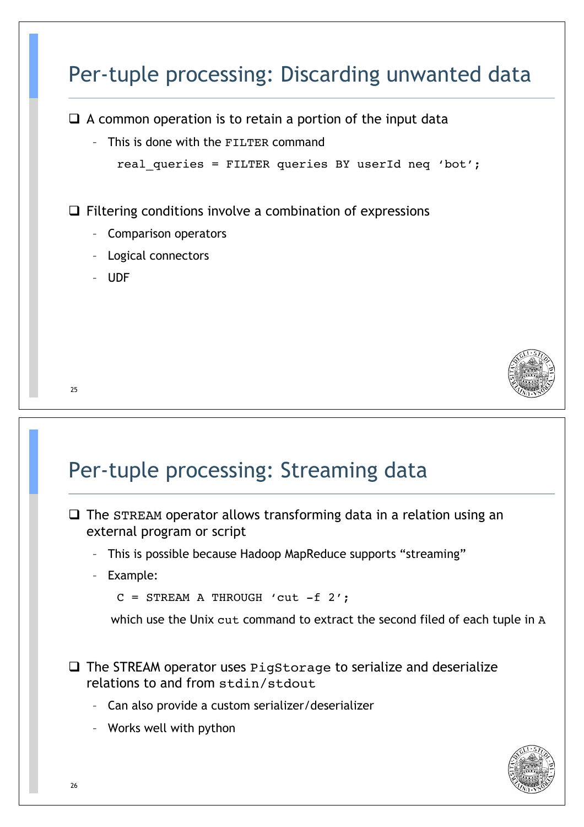## Per-tuple processing: Discarding unwanted data

 $\Box$  A common operation is to retain a portion of the input data

– This is done with the FILTER command

```
real queries = FILTER queries BY userId neq 'bot';
```
 $\Box$  Filtering conditions involve a combination of expressions

- Comparison operators
- Logical connectors
- UDF



#### 25

#### Per-tuple processing: Streaming data

- $\Box$  The STREAM operator allows transforming data in a relation using an external program or script
	- This is possible because Hadoop MapReduce supports "streaming"
	- Example:

```
C = STREAM A THROUGH 'cut -f 2';
```
which use the Unix cut command to extract the second filed of each tuple in A

 $\Box$  The STREAM operator uses PigStorage to serialize and deserialize relations to and from stdin/stdout

- Can also provide a custom serializer/deserializer
- Works well with python

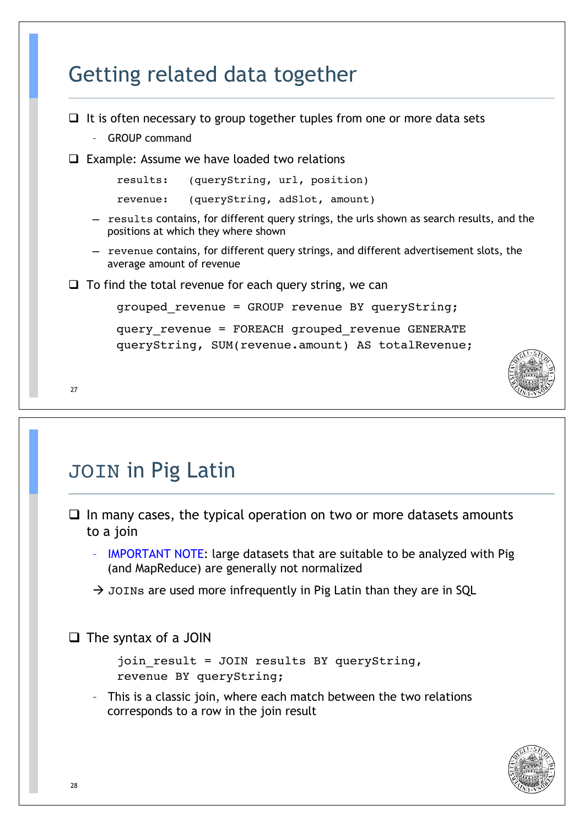## Getting related data together

```
 27 
\Box It is often necessary to group together tuples from one or more data sets
    – GROUP command 
\Box Example: Assume we have loaded two relations
        results: (queryString, url, position)
        revenue: (queryString, adSlot, amount)
    – results contains, for different query strings, the urls shown as search results, and the 
      positions at which they where shown 
    – revenue contains, for different query strings, and different advertisement slots, the 
      average amount of revenue 
\Box To find the total revenue for each query string, we can
        grouped_revenue = GROUP revenue BY queryString; 
        query_revenue = FOREACH grouped_revenue GENERATE 
        queryString, SUM(revenue.amount) AS totalRevenue;
```

```
JOIN in Pig Latin
```
- $\Box$  In many cases, the typical operation on two or more datasets amounts to a join
	- IMPORTANT NOTE: large datasets that are suitable to be analyzed with Pig (and MapReduce) are generally not normalized
	- $\rightarrow$  JOINs are used more infrequently in Pig Latin than they are in SQL

 $\Box$  The syntax of a JOIN

```
join result = JOIN results BY queryString,
revenue BY queryString;
```
– This is a classic join, where each match between the two relations corresponds to a row in the join result

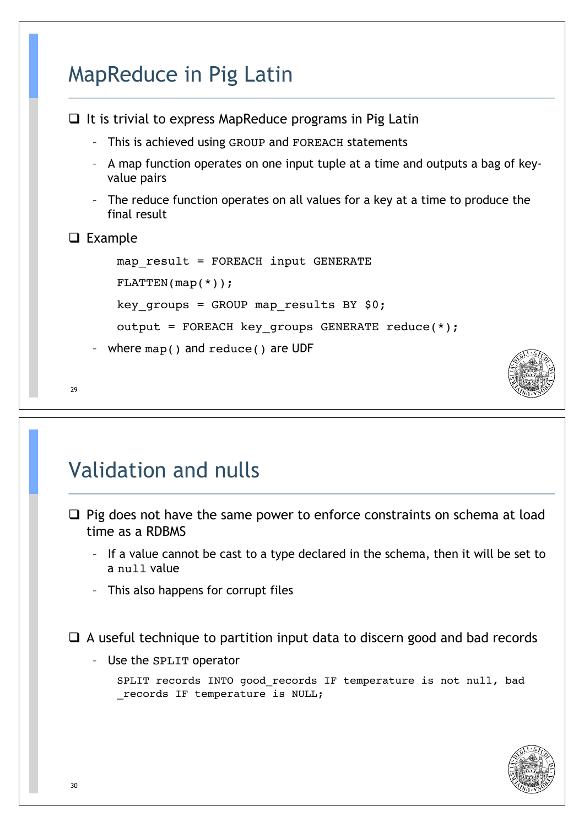## MapReduce in Pig Latin

```
\Box It is trivial to express MapReduce programs in Pig Latin
      – This is achieved using GROUP and FOREACH statements 
    – A map function operates on one input tuple at a time and outputs a bag of key-
      value pairs 
    – The reduce function operates on all values for a key at a time to produce the 
      final result 
\Box Example
       map result = FOREACH input GENERATE
        FLATTEN(map(*));key groups = GROUP map results BY $0;output = FOREACH key_groups GENERATE reduce(*);
      where map() and reduce() are UDF
```

```
 29
```
## Validation and nulls

- $\Box$  Pig does not have the same power to enforce constraints on schema at load time as a RDBMS
	- If a value cannot be cast to a type declared in the schema, then it will be set to a null value
	- This also happens for corrupt files

 $\Box$  A useful technique to partition input data to discern good and bad records

– Use the SPLIT operator

SPLIT records INTO good records IF temperature is not null, bad records IF temperature is NULL;

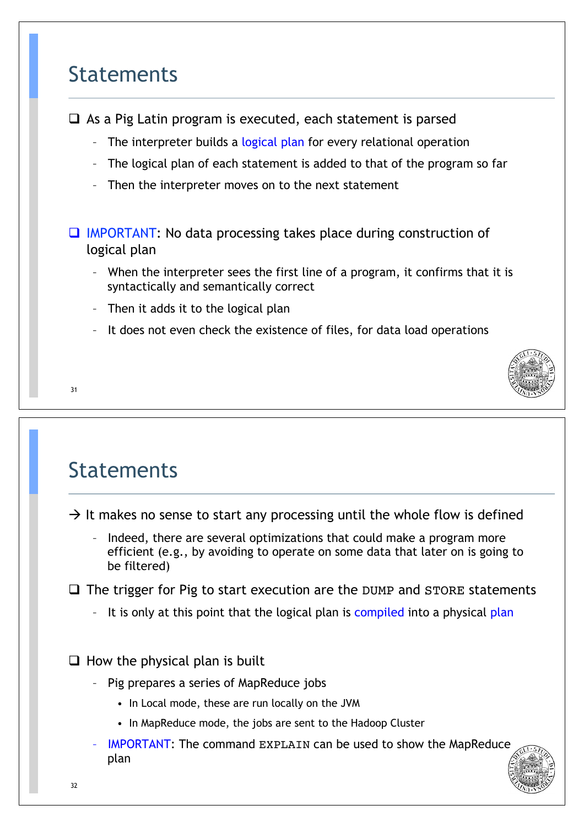#### Statements

 $\Box$  As a Pig Latin program is executed, each statement is parsed

- The interpreter builds a logical plan for every relational operation
- The logical plan of each statement is added to that of the program so far
- Then the interpreter moves on to the next statement

 $\Box$  IMPORTANT: No data processing takes place during construction of logical plan

- When the interpreter sees the first line of a program, it confirms that it is syntactically and semantically correct
- Then it adds it to the logical plan
- It does not even check the existence of files, for data load operations



#### 31

#### Statements

 $\rightarrow$  It makes no sense to start any processing until the whole flow is defined

– Indeed, there are several optimizations that could make a program more efficient (e.g., by avoiding to operate on some data that later on is going to be filtered)

 $\Box$  The trigger for Pig to start execution are the DUMP and STORE statements

It is only at this point that the logical plan is compiled into a physical plan

 $\Box$  How the physical plan is built

- Pig prepares a series of MapReduce jobs
	- In Local mode, these are run locally on the JVM
	- In MapReduce mode, the jobs are sent to the Hadoop Cluster
- IMPORTANT: The command EXPLAIN can be used to show the MapReduce plan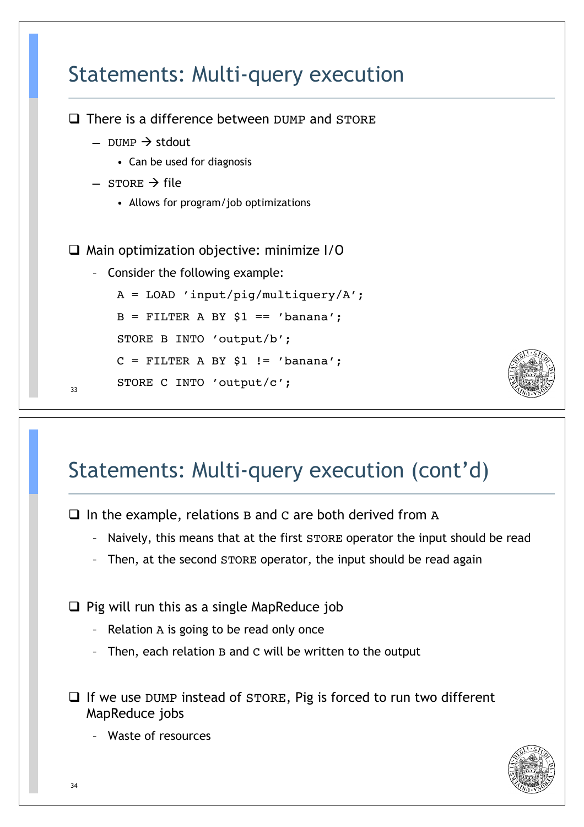

## Statements: Multi-query execution (cont'd)

 $\Box$  In the example, relations B and C are both derived from A

- Naively, this means that at the first STORE operator the input should be read
- Then, at the second STORE operator, the input should be read again

 $\Box$  Pig will run this as a single MapReduce job

- Relation A is going to be read only once
- Then, each relation B and C will be written to the output
- $\Box$  If we use DUMP instead of STORE, Pig is forced to run two different MapReduce jobs

– Waste of resources

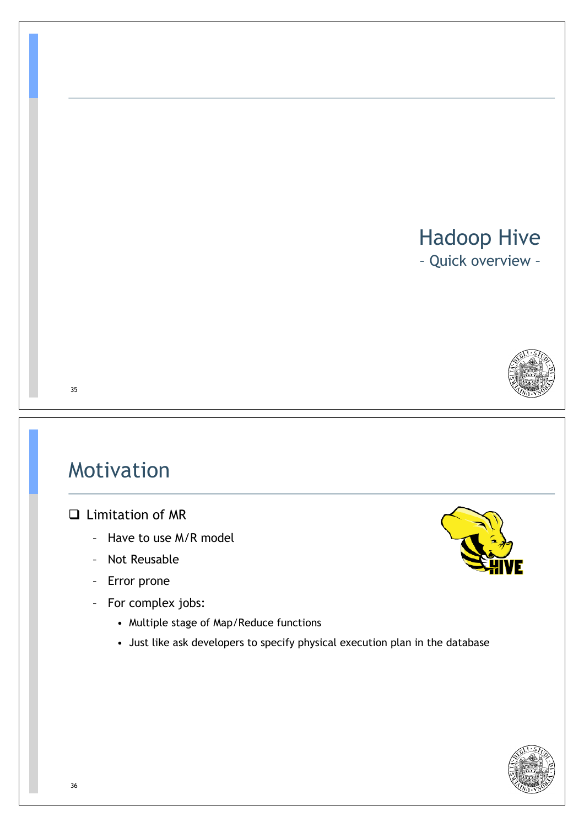#### Hadoop Hive

– Quick overview –



#### 35

## Motivation

#### $\Box$  Limitation of MR

- Have to use M/R model
- Not Reusable
- Error prone
- For complex jobs:
	- Multiple stage of Map/Reduce functions
	- Just like ask developers to specify physical execution plan in the database



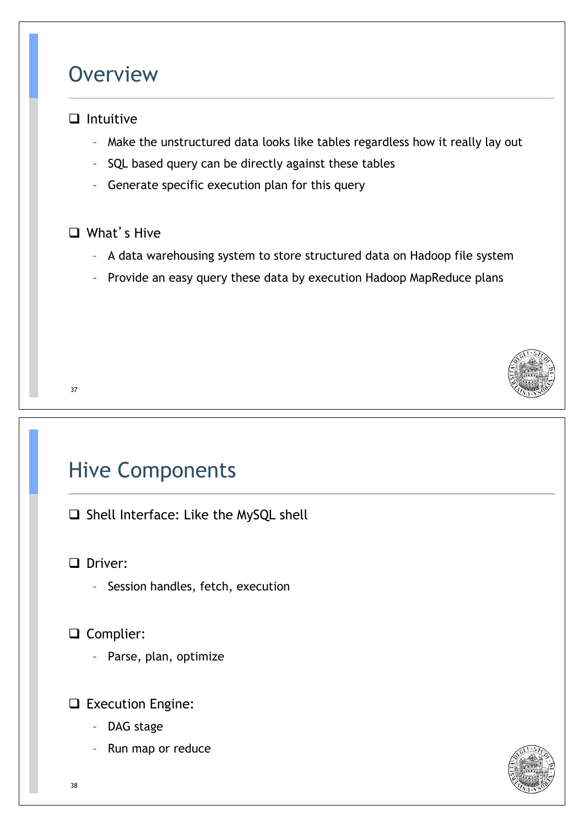#### **Overview**

#### $\Box$  Intuitive

- Make the unstructured data looks like tables regardless how it really lay out
- SQL based query can be directly against these tables
- Generate specific execution plan for this query

#### $\Box$  What's Hive

- A data warehousing system to store structured data on Hadoop file system
- Provide an easy query these data by execution Hadoop MapReduce plans



## Hive Components

□ Shell Interface: Like the MySQL shell

**Q** Driver:

- Session handles, fetch, execution
- □ Complier:
	- Parse, plan, optimize

#### □ Execution Engine:

- DAG stage
- Run map or reduce

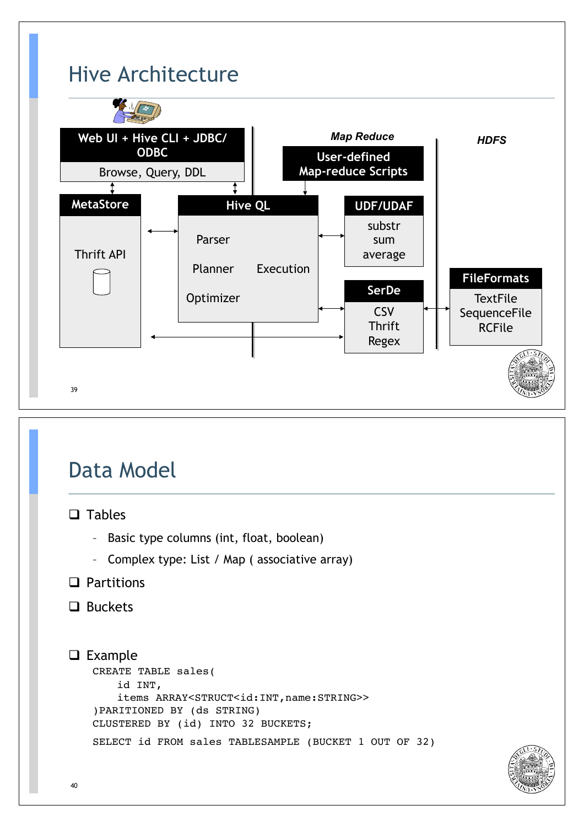

## Data Model

#### $\Box$  Tables

- Basic type columns (int, float, boolean)
- Complex type: List / Map ( associative array)
- $\Box$  Partitions
- $\Box$  Buckets

```
\Box Example
   CREATE TABLE sales(
       id INT, 
       items ARRAY<STRUCT<id:INT,name:STRING>>
   )PARITIONED BY (ds STRING)
   CLUSTERED BY (id) INTO 32 BUCKETS;
   SELECT id FROM sales TABLESAMPLE (BUCKET 1 OUT OF 32)
```
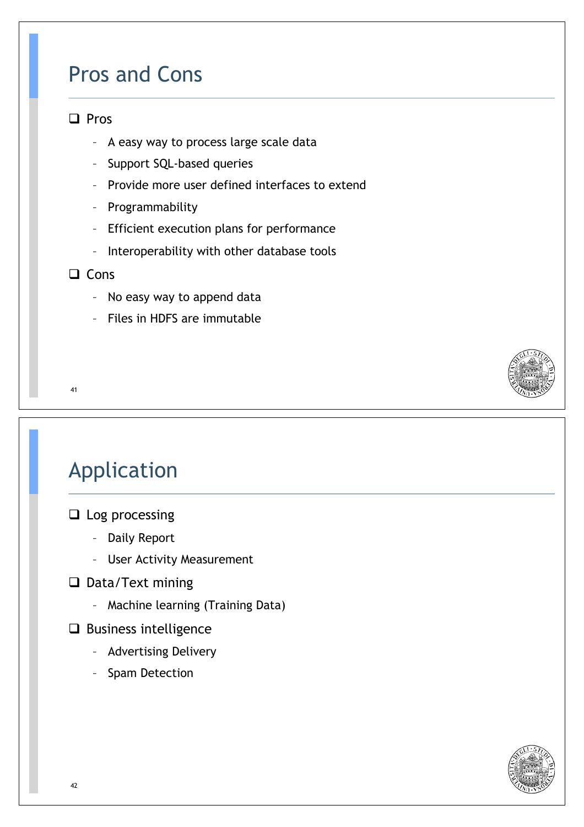#### Pros and Cons

#### $\Box$  Pros

- A easy way to process large scale data
- Support SQL-based queries
- Provide more user defined interfaces to extend
- Programmability
- Efficient execution plans for performance
- Interoperability with other database tools
- $\Box$  Cons
	- No easy way to append data
	- Files in HDFS are immutable

41

## Application

- $\Box$  Log processing
	- Daily Report
	- User Activity Measurement
- $\Box$  Data/Text mining
	- Machine learning (Training Data)
- $\Box$  Business intelligence
	- Advertising Delivery
	- Spam Detection